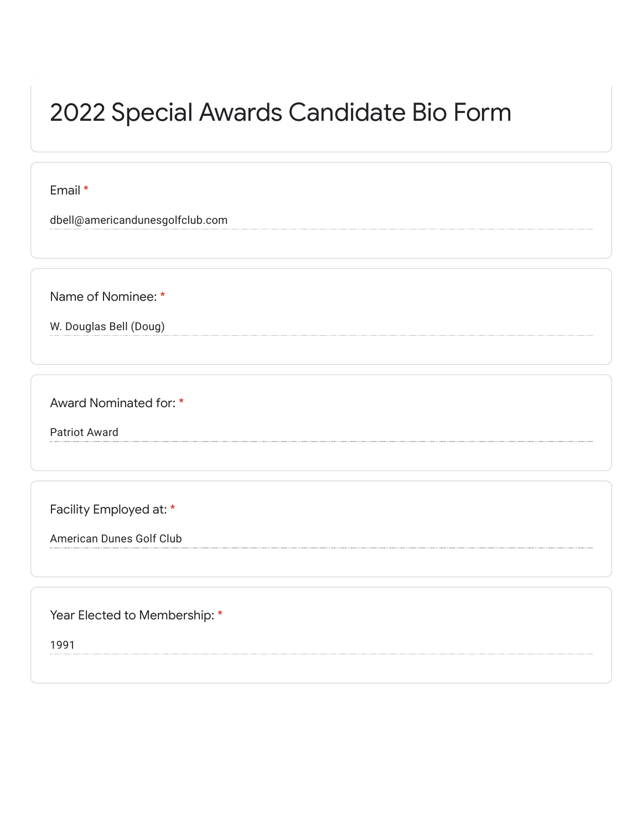## 2022 Special Awards Candidate Bio Form

Email \*

dbell@americandunesgolfclub.com

Name of Nominee: \*

W. Douglas Bell (Doug)

Award Nominated for: \*

Patriot Award

Facility Employed at: \*

American Dunes Golf Club

Year Elected to Membership: \*

1991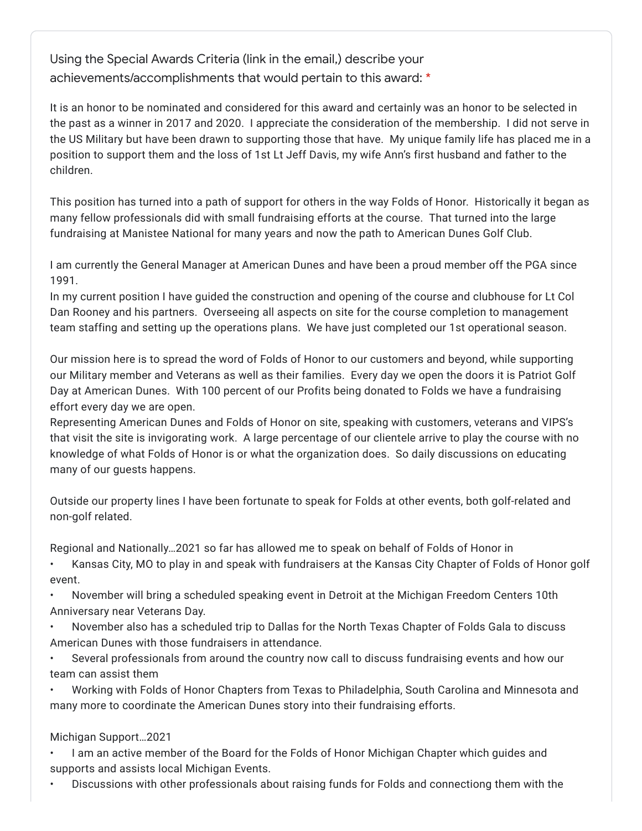Using the Special Awards Criteria (link in the email,) describe your achievements/accomplishments that would pertain to this award: \*

It is an honor to be nominated and considered for this award and certainly was an honor to be selected in the past as a winner in 2017 and 2020. I appreciate the consideration of the membership. I did not serve in the US Military but have been drawn to supporting those that have. My unique family life has placed me in a position to support them and the loss of 1st Lt Jeff Davis, my wife Ann's first husband and father to the children.

This position has turned into a path of support for others in the way Folds of Honor. Historically it began as many fellow professionals did with small fundraising efforts at the course. That turned into the large fundraising at Manistee National for many years and now the path to American Dunes Golf Club.

I am currently the General Manager at American Dunes and have been a proud member off the PGA since 1991.

In my current position I have guided the construction and opening of the course and clubhouse for Lt Col Dan Rooney and his partners. Overseeing all aspects on site for the course completion to management team staffing and setting up the operations plans. We have just completed our 1st operational season.

Our mission here is to spread the word of Folds of Honor to our customers and beyond, while supporting our Military member and Veterans as well as their families. Every day we open the doors it is Patriot Golf Day at American Dunes. With 100 percent of our Profits being donated to Folds we have a fundraising effort every day we are open.

Representing American Dunes and Folds of Honor on site, speaking with customers, veterans and VIPS's that visit the site is invigorating work. A large percentage of our clientele arrive to play the course with no knowledge of what Folds of Honor is or what the organization does. So daily discussions on educating many of our guests happens.

Outside our property lines I have been fortunate to speak for Folds at other events, both golf-related and non-golf related.

Regional and Nationally…2021 so far has allowed me to speak on behalf of Folds of Honor in

• Kansas City, MO to play in and speak with fundraisers at the Kansas City Chapter of Folds of Honor golf event.

• November will bring a scheduled speaking event in Detroit at the Michigan Freedom Centers 10th Anniversary near Veterans Day.

• November also has a scheduled trip to Dallas for the North Texas Chapter of Folds Gala to discuss American Dunes with those fundraisers in attendance.

• Several professionals from around the country now call to discuss fundraising events and how our team can assist them

• Working with Folds of Honor Chapters from Texas to Philadelphia, South Carolina and Minnesota and many more to coordinate the American Dunes story into their fundraising efforts.

## Michigan Support…2021

• I am an active member of the Board for the Folds of Honor Michigan Chapter which guides and supports and assists local Michigan Events.

• Discussions with other professionals about raising funds for Folds and connectiong them with the